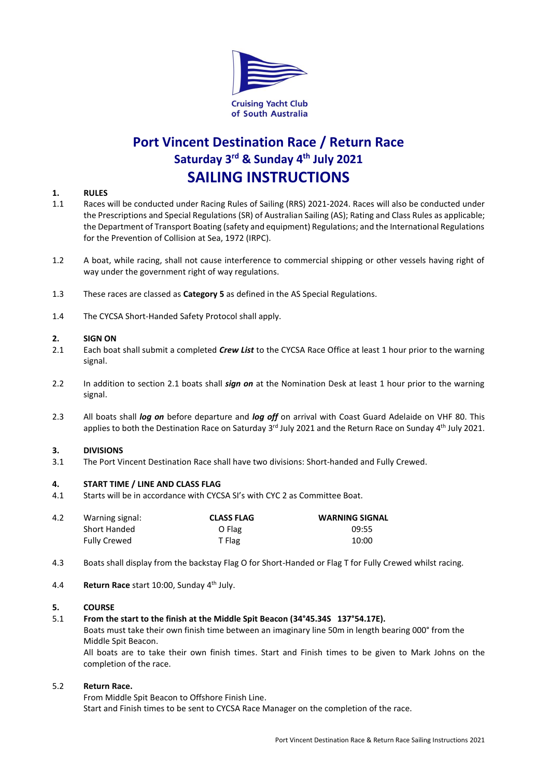

# **Port Vincent Destination Race / Return Race Saturday 3 rd & Sunday 4 th July 2021 SAILING INSTRUCTIONS**

## **1. RULES**

- 1.1 Races will be conducted under Racing Rules of Sailing (RRS) 2021-2024. Races will also be conducted under the Prescriptions and Special Regulations (SR) of Australian Sailing (AS); Rating and Class Rules as applicable; the Department of Transport Boating (safety and equipment) Regulations; and the International Regulations for the Prevention of Collision at Sea, 1972 (IRPC).
- 1.2 A boat, while racing, shall not cause interference to commercial shipping or other vessels having right of way under the government right of way regulations.
- 1.3 These races are classed as **Category 5** as defined in the AS Special Regulations.
- 1.4 The CYCSA Short-Handed Safety Protocol shall apply.

### **2. SIGN ON**

- 2.1 Each boat shall submit a completed *Crew List* to the CYCSA Race Office at least 1 hour prior to the warning signal.
- 2.2 In addition to section 2.1 boats shall *sign on* at the Nomination Desk at least 1 hour prior to the warning signal.
- 2.3 All boats shall *log on* before departure and *log off* on arrival with Coast Guard Adelaide on VHF 80. This applies to both the Destination Race on Saturday 3<sup>rd</sup> July 2021 and the Return Race on Sunday 4<sup>th</sup> July 2021.

### **3. DIVISIONS**

3.1 The Port Vincent Destination Race shall have two divisions: Short-handed and Fully Crewed.

### **4. START TIME / LINE AND CLASS FLAG**

4.1 Starts will be in accordance with CYCSA SI's with CYC 2 as Committee Boat.

| 4.2 | Warning signal:     | <b>CLASS FLAG</b> | <b>WARNING SIGNAL</b> |
|-----|---------------------|-------------------|-----------------------|
|     | Short Handed        | O Flag            | 09:55                 |
|     | <b>Fully Crewed</b> | T Flag            | 10:00                 |

- 4.3 Boats shall display from the backstay Flag O for Short-Handed or Flag T for Fully Crewed whilst racing.
- 4.4 **Return Race** start 10:00, Sunday 4 th July.

### **5. COURSE**

### 5.1 **From the start to the finish at the Middle Spit Beacon (34°45.34S 137°54.17E).**

Boats must take their own finish time between an imaginary line 50m in length bearing 000° from the Middle Spit Beacon.

All boats are to take their own finish times. Start and Finish times to be given to Mark Johns on the completion of the race.

### 5.2 **Return Race.**

From Middle Spit Beacon to Offshore Finish Line. Start and Finish times to be sent to CYCSA Race Manager on the completion of the race.